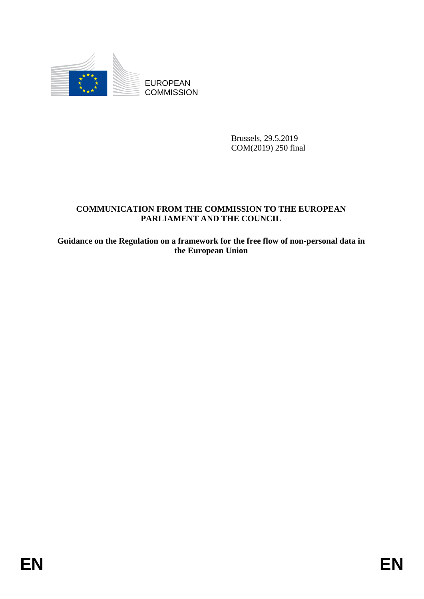

**COMMISSION** 

Brussels, 29.5.2019 COM(2019) 250 final

### **COMMUNICATION FROM THE COMMISSION TO THE EUROPEAN PARLIAMENT AND THE COUNCIL**

EUROPEAN<br>
EUROPEAN<br>
EQUALISION<br>
COMMUNICATION FROM THE COMMUNICATO TO THE EUROPEAN<br>
COMMUNICATION FROM THE COMMUNICATOR TO THE EUROPEAN<br>
PARTAMENT AND THE CONNEL<br>
Guidance on the Regulation on a framework for the free flow **Guidance on the Regulation on a framework for the free flow of non-personal data in the European Union**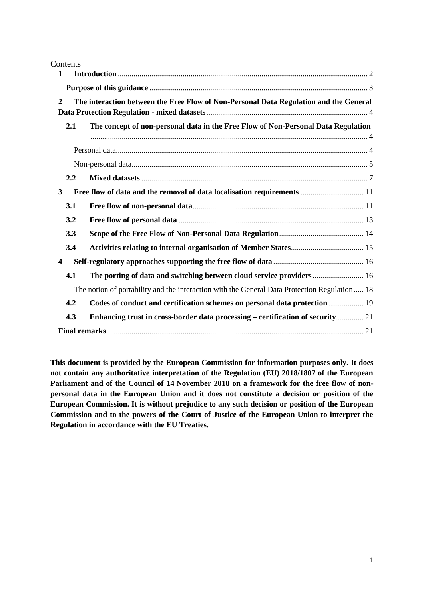| Contents                |                                                                                               |  |
|-------------------------|-----------------------------------------------------------------------------------------------|--|
| $\mathbf{1}$            |                                                                                               |  |
|                         |                                                                                               |  |
| $\overline{2}$          | The interaction between the Free Flow of Non-Personal Data Regulation and the General         |  |
| 2.1                     | The concept of non-personal data in the Free Flow of Non-Personal Data Regulation             |  |
|                         |                                                                                               |  |
|                         |                                                                                               |  |
| 2.2                     |                                                                                               |  |
| 3                       | Free flow of data and the removal of data localisation requirements  11                       |  |
| 3.1                     |                                                                                               |  |
| 3.2                     |                                                                                               |  |
| 3.3                     |                                                                                               |  |
| 3.4                     |                                                                                               |  |
| $\overline{\mathbf{4}}$ |                                                                                               |  |
| 4.1                     | The porting of data and switching between cloud service providers 16                          |  |
|                         | The notion of portability and the interaction with the General Data Protection Regulation  18 |  |
| 4.2                     | Codes of conduct and certification schemes on personal data protection  19                    |  |
| 4.3                     | Enhancing trust in cross-border data processing – certification of security 21                |  |
|                         |                                                                                               |  |

**This document is provided by the European Commission for information purposes only. It does not contain any authoritative interpretation of the Regulation (EU) 2018/1807 of the European Parliament and of the Council of 14 November 2018 on a framework for the free flow of nonpersonal data in the European Union and it does not constitute a decision or position of the European Commission. It is without prejudice to any such decision or position of the European Commission and to the powers of the Court of Justice of the European Union to interpret the Regulation in accordance with the EU Treaties.**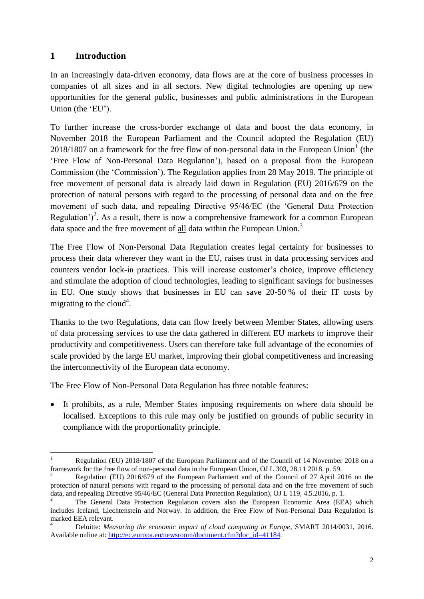### <span id="page-2-0"></span>**1 Introduction**

In an increasingly data-driven economy, data flows are at the core of business processes in companies of all sizes and in all sectors. New digital technologies are opening up new opportunities for the general public, businesses and public administrations in the European Union (the 'EU').

To further increase the cross-border exchange of data and boost the data economy, in November 2018 the European Parliament and the Council adopted the Regulation (EU)  $2018/1807$  on a framework for the free flow of non-personal data in the European Union<sup>1</sup> (the 'Free Flow of Non-Personal Data Regulation'), based on a proposal from the European Commission (the 'Commission'). The Regulation applies from 28 May 2019. The principle of free movement of personal data is already laid down in Regulation (EU) 2016/679 on the protection of natural persons with regard to the processing of personal data and on the free movement of such data, and repealing Directive 95/46/EC (the 'General Data Protection Regulation')<sup>2</sup>. As a result, there is now a comprehensive framework for a common European data space and the free movement of <u>all</u> data within the European Union.<sup>3</sup>

The Free Flow of Non-Personal Data Regulation creates legal certainty for businesses to process their data wherever they want in the EU, raises trust in data processing services and counters vendor lock-in practices. This will increase customer's choice, improve efficiency and stimulate the adoption of cloud technologies, leading to significant savings for businesses in EU. One study shows that businesses in EU can save 20-50 % of their IT costs by migrating to the cloud<sup>4</sup>.

Thanks to the two Regulations, data can flow freely between Member States, allowing users of data processing services to use the data gathered in different EU markets to improve their productivity and competitiveness. Users can therefore take full advantage of the economies of scale provided by the large EU market, improving their global competitiveness and increasing the interconnectivity of the European data economy.

The Free Flow of Non-Personal Data Regulation has three notable features:

 It prohibits, as a rule, Member States imposing requirements on where data should be localised. Exceptions to this rule may only be justified on grounds of public security in compliance with the proportionality principle.

**<sup>.</sup>** <sup>1</sup> Regulation (EU) 2018/1807 of the European Parliament and of the Council of 14 November 2018 on a framework for the free flow of non-personal data in the European Union, OJ L 303, 28.11.2018, p. 59.

<sup>2</sup> Regulation (EU) 2016/679 of the European Parliament and of the Council of 27 April 2016 on the protection of natural persons with regard to the processing of personal data and on the free movement of such data, and repealing Directive 95/46/EC (General Data Protection Regulation), OJ L 119, 4.5.2016, p. 1.

<sup>3</sup> The General Data Protection Regulation covers also the European Economic Area (EEA) which includes Iceland, Liechtenstein and Norway. In addition, the Free Flow of Non-Personal Data Regulation is marked EEA relevant.

<sup>4</sup> Deloitte: *Measuring the economic impact of cloud computing in Europe*, SMART 2014/0031, 2016. Available online at: [http://ec.europa.eu/newsroom/document.cfm?doc\\_id=41184.](http://ec.europa.eu/newsroom/document.cfm?doc_id=41184)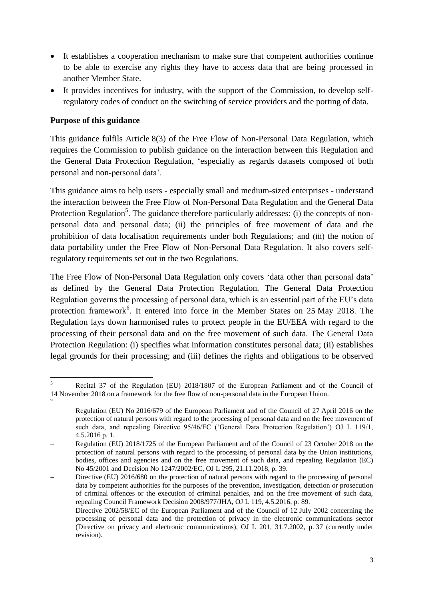- It establishes a cooperation mechanism to make sure that competent authorities continue to be able to exercise any rights they have to access data that are being processed in another Member State.
- It provides incentives for industry, with the support of the Commission, to develop selfregulatory codes of conduct on the switching of service providers and the porting of data.

### <span id="page-3-0"></span>**Purpose of this guidance**

This guidance fulfils Article 8(3) of the Free Flow of Non-Personal Data Regulation, which requires the Commission to publish guidance on the interaction between this Regulation and the General Data Protection Regulation, 'especially as regards datasets composed of both personal and non-personal data'.

This guidance aims to help users - especially small and medium-sized enterprises - understand the interaction between the Free Flow of Non-Personal Data Regulation and the General Data Protection Regulation<sup>5</sup>. The guidance therefore particularly addresses: (i) the concepts of nonpersonal data and personal data; (ii) the principles of free movement of data and the prohibition of data localisation requirements under both Regulations; and (iii) the notion of data portability under the Free Flow of Non-Personal Data Regulation. It also covers selfregulatory requirements set out in the two Regulations.

The Free Flow of Non-Personal Data Regulation only covers 'data other than personal data' as defined by the General Data Protection Regulation. The General Data Protection Regulation governs the processing of personal data, which is an essential part of the EU's data protection framework<sup>6</sup>. It entered into force in the Member States on 25 May 2018. The Regulation lays down harmonised rules to protect people in the EU/EEA with regard to the processing of their personal data and on the free movement of such data. The General Data Protection Regulation: (i) specifies what information constitutes personal data; (ii) establishes legal grounds for their processing; and (iii) defines the rights and obligations to be observed

 $\overline{5}$ <sup>5</sup> Recital 37 of the Regulation (EU) 2018/1807 of the European Parliament and of the Council of 14 November 2018 on a framework for the free flow of non-personal data in the European Union. 6

Regulation (EU) No 2016/679 of the European Parliament and of the Council of 27 April 2016 on the protection of natural persons with regard to the processing of personal data and on the free movement of such data, and repealing Directive 95/46/EC ('General Data Protection Regulation') OJ L 119/1, 4.5.2016 p. 1.

Regulation (EU) 2018/1725 of the European Parliament and of the Council of 23 October 2018 on the protection of natural persons with regard to the processing of personal data by the Union institutions, bodies, offices and agencies and on the free movement of such data, and repealing Regulation (EC) No 45/2001 and Decision No 1247/2002/EC, OJ L 295, 21.11.2018, p. 39.

Directive (EU) 2016/680 on the protection of natural persons with regard to the processing of personal data by competent authorities for the purposes of the prevention, investigation, detection or prosecution of criminal offences or the execution of criminal penalties, and on the free movement of such data, repealing Council Framework Decision 2008/977/JHA, OJ L 119, 4.5.2016, p. 89.

Directive 2002/58/EC of the European Parliament and of the Council of 12 July 2002 concerning the processing of personal data and the protection of privacy in the electronic communications sector (Directive on privacy and electronic communications), OJ L 201, 31.7.2002, p. 37 (currently under revision).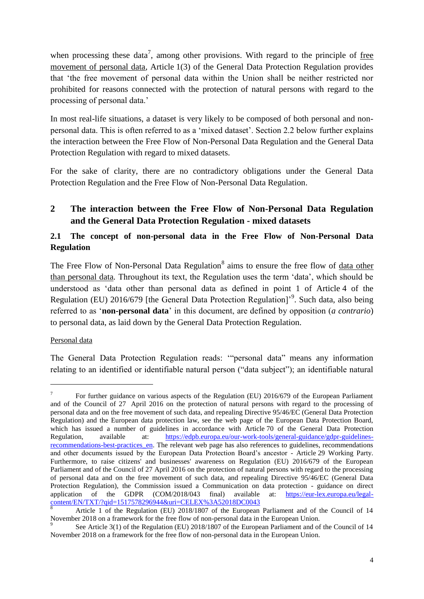when processing these data<sup>7</sup>, among other provisions. With regard to the principle of free movement of personal data*,* Article 1(3) of the General Data Protection Regulation provides that 'the free movement of personal data within the Union shall be neither restricted nor prohibited for reasons connected with the protection of natural persons with regard to the processing of personal data.'

In most real-life situations, a dataset is very likely to be composed of both personal and nonpersonal data. This is often referred to as a 'mixed dataset'. Section 2.2 below further explains the interaction between the Free Flow of Non-Personal Data Regulation and the General Data Protection Regulation with regard to mixed datasets.

For the sake of clarity, there are no contradictory obligations under the General Data Protection Regulation and the Free Flow of Non-Personal Data Regulation.

# <span id="page-4-0"></span>**2 The interaction between the Free Flow of Non-Personal Data Regulation and the General Data Protection Regulation - mixed datasets**

## <span id="page-4-1"></span>**2.1 The concept of non-personal data in the Free Flow of Non-Personal Data Regulation**

The Free Flow of Non-Personal Data Regulation<sup>8</sup> aims to ensure the free flow of data other than personal data*.* Throughout its text, the Regulation uses the term 'data', which should be understood as 'data other than personal data as defined in point 1 of Article 4 of the Regulation (EU) 2016/679 [the General Data Protection Regulation]<sup>39</sup>. Such data, also being referred to as '**non-personal data**' in this document, are defined by opposition (*a contrario*) to personal data, as laid down by the General Data Protection Regulation.

#### <span id="page-4-2"></span>Personal data

**.** 

The General Data Protection Regulation reads: '"personal data" means any information relating to an identified or identifiable natural person ("data subject"); an identifiable natural

<sup>7</sup> For further guidance on various aspects of the Regulation (EU) 2016/679 of the European Parliament and of the Council of 27 April 2016 on the protection of natural persons with regard to the processing of personal data and on the free movement of such data, and repealing Directive 95/46/EC (General Data Protection Regulation) and the European data protection law, see the web page of the European Data Protection Board, which has issued a number of guidelines in accordance with Article 70 of the General Data Protection Regulation, available at: [https://edpb.europa.eu/our-work-tools/general-guidance/gdpr-guidelines](https://edpb.europa.eu/our-work-tools/general-guidance/gdpr-guidelines-recommendations-best-practices_en)recommendations-best-practices en. The relevant web page has also references to guidelines, recommendations and other documents issued by the European Data Protection Board's ancestor - Article 29 Working Party. Furthermore, to raise citizens' and businesses' awareness on Regulation (EU) 2016/679 of the European Parliament and of the Council of 27 April 2016 on the protection of natural persons with regard to the processing of personal data and on the free movement of such data, and repealing Directive 95/46/EC (General Data Protection Regulation), the Commission issued a Communication on data protection - guidance on direct application of the GDPR (COM/2018/043 final) available at: [https://eur-lex.europa.eu/legal](https://eur-lex.europa.eu/legal-content/EN/TXT/?qid=1517578296944&uri=CELEX%3A52018DC0043)[content/EN/TXT/?qid=1517578296944&uri=CELEX%3A52018DC0043](https://eur-lex.europa.eu/legal-content/EN/TXT/?qid=1517578296944&uri=CELEX%3A52018DC0043)

<sup>8</sup> Article 1 of the Regulation (EU) 2018/1807 of the European Parliament and of the Council of 14 November 2018 on a framework for the free flow of non-personal data in the European Union.

<sup>9</sup> See Article 3(1) of the Regulation (EU) 2018/1807 of the European Parliament and of the Council of 14 November 2018 on a framework for the free flow of non-personal data in the European Union.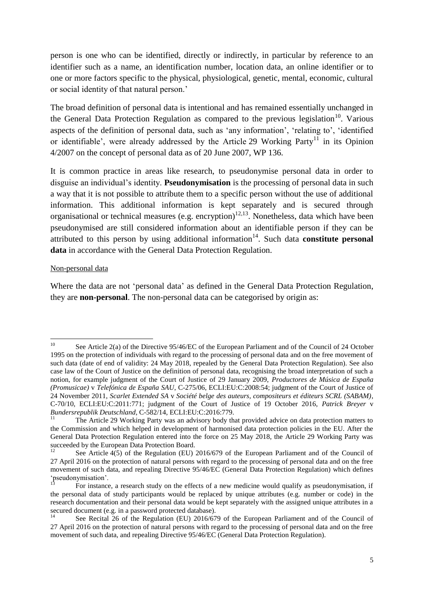person is one who can be identified, directly or indirectly, in particular by reference to an identifier such as a name, an identification number, location data, an online identifier or to one or more factors specific to the physical, physiological, genetic, mental, economic, cultural or social identity of that natural person.'

The broad definition of personal data is intentional and has remained essentially unchanged in the General Data Protection Regulation as compared to the previous legislation<sup>10</sup>. Various aspects of the definition of personal data, such as 'any information', 'relating to', 'identified or identifiable', were already addressed by the Article 29 Working Party<sup>11</sup> in its Opinion 4/2007 on the concept of personal data as of 20 June 2007, WP 136.

It is common practice in areas like research, to pseudonymise personal data in order to disguise an individual's identity. **Pseudonymisation** is the processing of personal data in such a way that it is not possible to attribute them to a specific person without the use of additional information. This additional information is kept separately and is secured through organisational or technical measures (e.g. encryption)<sup>12,13</sup>. Nonetheless, data which have been pseudonymised are still considered information about an identifiable person if they can be attributed to this person by using additional information<sup>14</sup>. Such data **constitute personal data** in accordance with the General Data Protection Regulation.

#### <span id="page-5-0"></span>Non-personal data

Where the data are not 'personal data' as defined in the General Data Protection Regulation, they are **non-personal**. The non-personal data can be categorised by origin as:

<sup>10</sup> See Article 2(a) of the Directive 95/46/EC of the European Parliament and of the Council of 24 October 1995 on the protection of individuals with regard to the processing of personal data and on the free movement of such data (date of end of validity: 24 May 2018, repealed by the General Data Protection Regulation). See also case law of the Court of Justice on the definition of personal data, recognising the broad interpretation of such a notion, for example judgment of the Court of Justice of 29 January 2009, *Productores de Música de España (Promusicae)* v *Telefónica de España SAU*, C-275/06, ECLI:EU:C:2008:54; judgment of the Court of Justice of 24 November 2011, *Scarlet Extended SA* v *Société belge des auteurs, compositeurs et éditeurs SCRL (SABAM)*, C-70/10, ECLI:EU:C:2011:771; judgment of the Court of Justice of 19 October 2016, *Patrick Breyer* v *Bundersrepublik Deutschland*, C-582/14, ECLI:EU:C:2016:779.

<sup>11</sup> The Article 29 Working Party was an advisory body that provided advice on data protection matters to the Commission and which helped in development of harmonised data protection policies in the EU. After the General Data Protection Regulation entered into the force on 25 May 2018, the Article 29 Working Party was succeeded by the European Data Protection Board.

See Article 4(5) of the Regulation (EU) 2016/679 of the European Parliament and of the Council of 27 April 2016 on the protection of natural persons with regard to the processing of personal data and on the free movement of such data, and repealing Directive 95/46/EC (General Data Protection Regulation) which defines 'pseudonymisation'.

<sup>13</sup> For instance, a research study on the effects of a new medicine would qualify as pseudonymisation, if the personal data of study participants would be replaced by unique attributes (e.g. number or code) in the research documentation and their personal data would be kept separately with the assigned unique attributes in a secured document (e.g. in a password protected database).

See Recital 26 of the Regulation (EU) 2016/679 of the European Parliament and of the Council of 27 April 2016 on the protection of natural persons with regard to the processing of personal data and on the free movement of such data, and repealing Directive 95/46/EC (General Data Protection Regulation).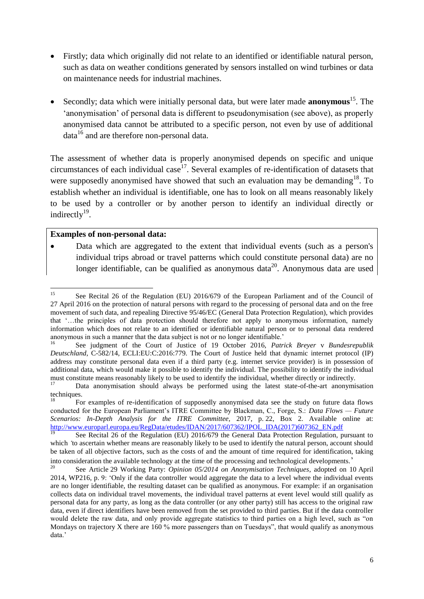- Firstly; data which originally did not relate to an identified or identifiable natural person, such as data on weather conditions generated by sensors installed on wind turbines or data on maintenance needs for industrial machines.
- Secondly; data which were initially personal data, but were later made **anonymous**<sup>15</sup>. The 'anonymisation' of personal data is different to pseudonymisation (see above), as properly anonymised data cannot be attributed to a specific person, not even by use of additional data<sup>16</sup> and are therefore non-personal data.

The assessment of whether data is properly anonymised depends on specific and unique circumstances of each individual case<sup>17</sup>. Several examples of re-identification of datasets that were supposedly anonymised have showed that such an evaluation may be demanding<sup>18</sup>. To establish whether an individual is identifiable, one has to look on all means reasonably likely to be used by a controller or by another person to identify an individual directly or indirectly $19$ .

#### **Examples of non-personal data:**

• Data which are aggregated to the extent that individual events (such as a person's individual trips abroad or travel patterns which could constitute personal data) are no longer identifiable, can be qualified as anonymous data $^{20}$ . Anonymous data are used

 $15$ <sup>15</sup> See Recital 26 of the Regulation (EU) 2016/679 of the European Parliament and of the Council of 27 April 2016 on the protection of natural persons with regard to the processing of personal data and on the free movement of such data, and repealing Directive 95/46/EC (General Data Protection Regulation), which provides that '…the principles of data protection should therefore not apply to anonymous information, namely information which does not relate to an identified or identifiable natural person or to personal data rendered anonymous in such a manner that the data subject is not or no longer identifiable.'

<sup>16</sup> See judgment of the Court of Justice of 19 October 2016, *Patrick Breyer* v *Bundesrepublik Deutschland*, C-582/14, ECLI:EU:C:2016:779. The Court of Justice held that dynamic internet protocol (IP) address may constitute personal data even if a third party (e.g. internet service provider) is in possession of additional data, which would make it possible to identify the individual. The possibility to identify the individual must constitute means reasonably likely to be used to identify the individual, whether directly or indirectly.

Data anonymisation should always be performed using the latest state-of-the-art anonymisation techniques.

<sup>18</sup> For examples of re-identification of supposedly anonymised data see the study on future data flows conducted for the European Parliament's ITRE Committee by Blackman, C., Forge, S.: *Data Flows — Future Scenarios: In-Depth Analysis for the ITRE Committee,* 2017, p. 22, Box 2. Available online at: [http://www.europarl.europa.eu/RegData/etudes/IDAN/2017/607362/IPOL\\_IDA\(2017\)607362\\_EN.pdf](http://www.europarl.europa.eu/RegData/etudes/IDAN/2017/607362/IPOL_IDA(2017)607362_EN.pdf)

<sup>19</sup> See Recital 26 of the Regulation (EU) 2016/679 the General Data Protection Regulation, pursuant to which *'*to ascertain whether means are reasonably likely to be used to identify the natural person, account should be taken of all objective factors, such as the costs of and the amount of time required for identification, taking into consideration the available technology at the time of the processing and technological developments.'

<sup>20</sup> See Article 29 Working Party: *Opinion 05/2014 on Anonymisation Techniques*, adopted on 10 April 2014, WP216, p. 9: 'Only if the data controller would aggregate the data to a level where the individual events are no longer identifiable, the resulting dataset can be qualified as anonymous. For example: if an organisation collects data on individual travel movements, the individual travel patterns at event level would still qualify as personal data for any party, as long as the data controller (or any other party) still has access to the original raw data, even if direct identifiers have been removed from the set provided to third parties. But if the data controller would delete the raw data, and only provide aggregate statistics to third parties on a high level, such as "on Mondays on trajectory X there are 160 % more passengers than on Tuesdays", that would qualify as anonymous data.'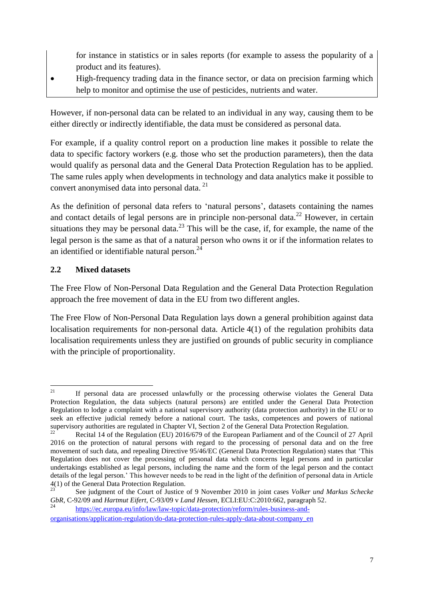for instance in statistics or in sales reports (for example to assess the popularity of a product and its features).

 High-frequency trading data in the finance sector, or data on precision farming which help to monitor and optimise the use of pesticides, nutrients and water.

However, if non-personal data can be related to an individual in any way, causing them to be either directly or indirectly identifiable, the data must be considered as personal data.

For example, if a quality control report on a production line makes it possible to relate the data to specific factory workers (e.g. those who set the production parameters), then the data would qualify as personal data and the General Data Protection Regulation has to be applied. The same rules apply when developments in technology and data analytics make it possible to convert anonymised data into personal data. <sup>21</sup>

As the definition of personal data refers to 'natural persons', datasets containing the names and contact details of legal persons are in principle non-personal data.<sup>22</sup> However, in certain situations they may be personal data.<sup>23</sup> This will be the case, if, for example, the name of the legal person is the same as that of a natural person who owns it or if the information relates to an identified or identifiable natural person.<sup>24</sup>

### <span id="page-7-0"></span>**2.2 Mixed datasets**

The Free Flow of Non-Personal Data Regulation and the General Data Protection Regulation approach the free movement of data in the EU from two different angles.

The Free Flow of Non-Personal Data Regulation lays down a general prohibition against data localisation requirements for non-personal data. Article 4(1) of the regulation prohibits data localisation requirements unless they are justified on grounds of public security in compliance with the principle of proportionality.

[https://ec.europa.eu/info/law/law-topic/data-protection/reform/rules-business-and-](https://ec.europa.eu/info/law/law-topic/data-protection/reform/rules-business-and-organisations/application-regulation/do-data-protection-rules-apply-data-about-company_en)

 $21$ <sup>21</sup> If personal data are processed unlawfully or the processing otherwise violates the General Data Protection Regulation, the data subjects (natural persons) are entitled under the General Data Protection Regulation to lodge a complaint with a national supervisory authority (data protection authority) in the EU or to seek an effective judicial remedy before a national court. The tasks, competences and powers of national supervisory authorities are regulated in Chapter VI, Section 2 of the General Data Protection Regulation.

<sup>22</sup> Recital 14 of the Regulation (EU) 2016/679 of the European Parliament and of the Council of 27 April 2016 on the protection of natural persons with regard to the processing of personal data and on the free movement of such data, and repealing Directive 95/46/EC (General Data Protection Regulation) states that 'This Regulation does not cover the processing of personal data which concerns legal persons and in particular undertakings established as legal persons, including the name and the form of the legal person and the contact details of the legal person.' This however needs to be read in the light of the definition of personal data in Article  $4(1)$  of the General Data Protection Regulation.

<sup>23</sup> See judgment of the Court of Justice of 9 November 2010 in joint cases *Volker und Markus Schecke GbR*, C-92/09 and *Hartmut Eifert*, C-93/09 v *Land Hessen*, ECLI:EU:C:2010:662, paragraph 52.

[organisations/application-regulation/do-data-protection-rules-apply-data-about-company\\_en](https://ec.europa.eu/info/law/law-topic/data-protection/reform/rules-business-and-organisations/application-regulation/do-data-protection-rules-apply-data-about-company_en)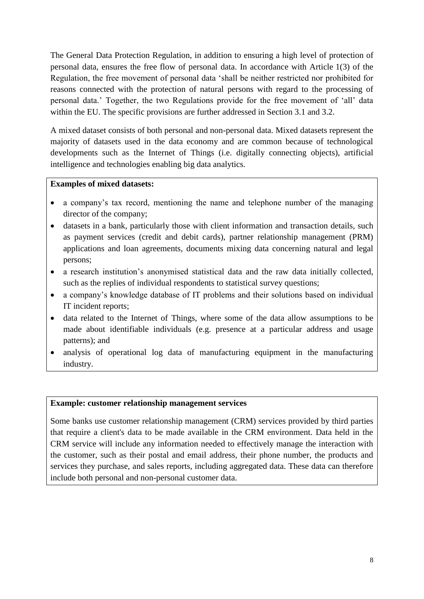The General Data Protection Regulation, in addition to ensuring a high level of protection of personal data, ensures the free flow of personal data. In accordance with Article 1(3) of the Regulation, the free movement of personal data 'shall be neither restricted nor prohibited for reasons connected with the protection of natural persons with regard to the processing of personal data.' Together, the two Regulations provide for the free movement of 'all' data within the EU. The specific provisions are further addressed in Section 3.1 and 3.2.

A mixed dataset consists of both personal and non-personal data. Mixed datasets represent the majority of datasets used in the data economy and are common because of technological developments such as the Internet of Things (i.e. digitally connecting objects), artificial intelligence and technologies enabling big data analytics.

#### **Examples of mixed datasets:**

- a company's tax record, mentioning the name and telephone number of the managing director of the company;
- datasets in a bank, particularly those with client information and transaction details, such as payment services (credit and debit cards), partner relationship management (PRM) applications and loan agreements, documents mixing data concerning natural and legal persons;
- a research institution's anonymised statistical data and the raw data initially collected, such as the replies of individual respondents to statistical survey questions;
- a company's knowledge database of IT problems and their solutions based on individual IT incident reports;
- data related to the Internet of Things, where some of the data allow assumptions to be made about identifiable individuals (e.g. presence at a particular address and usage patterns); and
- analysis of operational log data of manufacturing equipment in the manufacturing industry.

#### **Example: customer relationship management services**

Some banks use customer relationship management (CRM) services provided by third parties that require a client's data to be made available in the CRM environment. Data held in the CRM service will include any information needed to effectively manage the interaction with the customer, such as their postal and email address, their phone number, the products and services they purchase, and sales reports, including aggregated data. These data can therefore include both personal and non-personal customer data.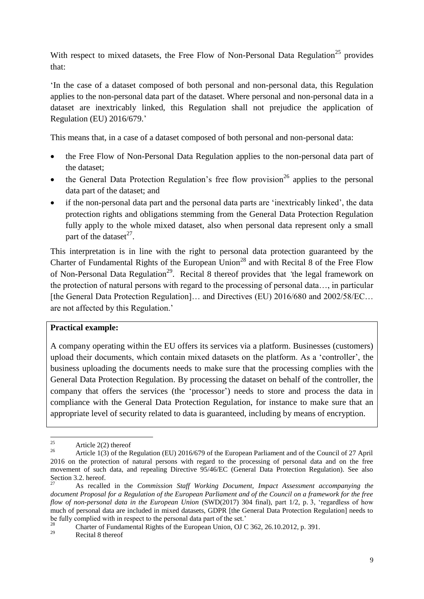With respect to mixed datasets, the Free Flow of Non-Personal Data Regulation<sup>25</sup> provides that:

'In the case of a dataset composed of both personal and non-personal data, this Regulation applies to the non-personal data part of the dataset. Where personal and non-personal data in a dataset are inextricably linked, this Regulation shall not prejudice the application of Regulation (EU) 2016/679.'

This means that, in a case of a dataset composed of both personal and non-personal data:

- the Free Flow of Non-Personal Data Regulation applies to the non-personal data part of the dataset;
- the General Data Protection Regulation's free flow provision<sup>26</sup> applies to the personal data part of the dataset; and
- if the non-personal data part and the personal data parts are 'inextricably linked', the data protection rights and obligations stemming from the General Data Protection Regulation fully apply to the whole mixed dataset, also when personal data represent only a small part of the dataset $^{27}$ .

This interpretation is in line with the right to personal data protection guaranteed by the Charter of Fundamental Rights of the European Union<sup>28</sup> and with Recital 8 of the Free Flow of Non-Personal Data Regulation<sup>29</sup>. Recital 8 thereof provides that *'the legal framework* on the protection of natural persons with regard to the processing of personal data…, in particular [the General Data Protection Regulation]… and Directives (EU) 2016/680 and 2002/58/EC… are not affected by this Regulation.'

#### **Practical example:**

A company operating within the EU offers its services via a platform. Businesses (customers) upload their documents, which contain mixed datasets on the platform. As a 'controller', the business uploading the documents needs to make sure that the processing complies with the General Data Protection Regulation. By processing the dataset on behalf of the controller, the company that offers the services (the 'processor') needs to store and process the data in compliance with the General Data Protection Regulation, for instance to make sure that an appropriate level of security related to data is guaranteed, including by means of encryption.

<sup>25</sup> <sup>25</sup> Article 2(2) thereof<br><sup>26</sup> Article 1(3) of the B

<sup>26</sup> Article 1(3) of the Regulation (EU) 2016/679 of the European Parliament and of the Council of 27 April 2016 on the protection of natural persons with regard to the processing of personal data and on the free movement of such data, and repealing Directive 95/46/EC (General Data Protection Regulation). See also Section 3.2. hereof.

<sup>27</sup> As recalled in the *Commission Staff Working Document, Impact Assessment accompanying the document Proposal for a Regulation of the European Parliament and of the Council on a framework for the free flow of non-personal data in the European Union* (SWD(2017) 304 final), part 1/2, p. 3, 'regardless of how much of personal data are included in mixed datasets, GDPR [the General Data Protection Regulation] needs to be fully complied with in respect to the personal data part of the set.'

<sup>&</sup>lt;sup>28</sup> Charter of Fundamental Rights of the European Union, OJ C 362, 26.10.2012, p. 391.

Recital 8 thereof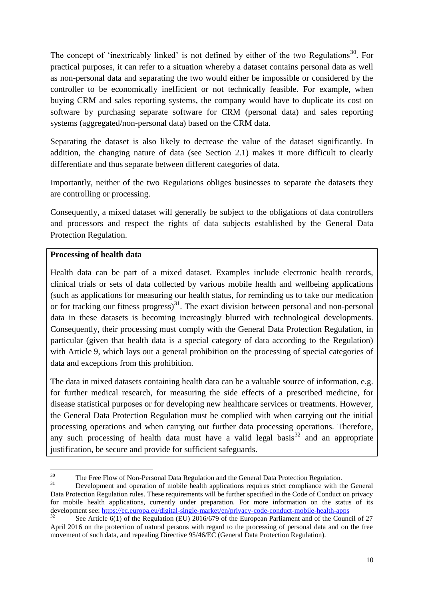The concept of 'inextricably linked' is not defined by either of the two Regulations<sup>30</sup>. For practical purposes, it can refer to a situation whereby a dataset contains personal data as well as non-personal data and separating the two would either be impossible or considered by the controller to be economically inefficient or not technically feasible. For example, when buying CRM and sales reporting systems, the company would have to duplicate its cost on software by purchasing separate software for CRM (personal data) and sales reporting systems (aggregated/non-personal data) based on the CRM data.

Separating the dataset is also likely to decrease the value of the dataset significantly. In addition, the changing nature of data (see Section 2.1) makes it more difficult to clearly differentiate and thus separate between different categories of data.

Importantly, neither of the two Regulations obliges businesses to separate the datasets they are controlling or processing.

Consequently, a mixed dataset will generally be subject to the obligations of data controllers and processors and respect the rights of data subjects established by the General Data Protection Regulation.

#### **Processing of health data**

Health data can be part of a mixed dataset. Examples include electronic health records, clinical trials or sets of data collected by various mobile health and wellbeing applications (such as applications for measuring our health status, for reminding us to take our medication or for tracking our fitness progress)<sup>31</sup>. The exact division between personal and non-personal data in these datasets is becoming increasingly blurred with technological developments. Consequently, their processing must comply with the General Data Protection Regulation, in particular (given that health data is a special category of data according to the Regulation) with Article 9, which lays out a general prohibition on the processing of special categories of data and exceptions from this prohibition.

The data in mixed datasets containing health data can be a valuable source of information, e.g. for further medical research, for measuring the side effects of a prescribed medicine, for disease statistical purposes or for developing new healthcare services or treatments. However, the General Data Protection Regulation must be complied with when carrying out the initial processing operations and when carrying out further data processing operations. Therefore, any such processing of health data must have a valid legal basis $32^{7}$  and an appropriate justification, be secure and provide for sufficient safeguards.

<sup>30</sup> <sup>30</sup> The Free Flow of Non-Personal Data Regulation and the General Data Protection Regulation.

Development and operation of mobile health applications requires strict compliance with the General Data Protection Regulation rules. These requirements will be further specified in the Code of Conduct on privacy for mobile health applications, currently under preparation. For more information on the status of its development see:<https://ec.europa.eu/digital-single-market/en/privacy-code-conduct-mobile-health-apps>

See Article 6(1) of the Regulation (EU) 2016/679 of the European Parliament and of the Council of 27 April 2016 on the protection of natural persons with regard to the processing of personal data and on the free movement of such data, and repealing Directive 95/46/EC (General Data Protection Regulation).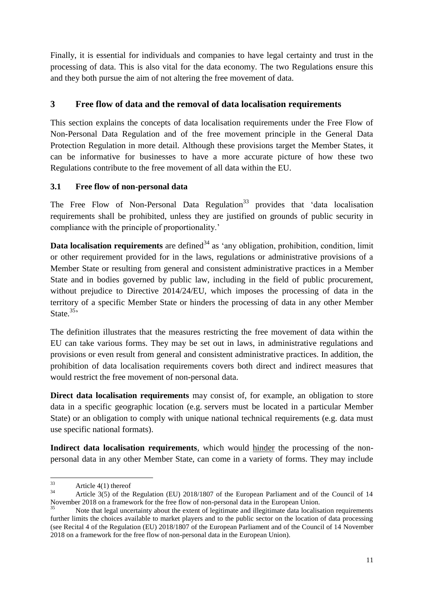Finally, it is essential for individuals and companies to have legal certainty and trust in the processing of data. This is also vital for the data economy. The two Regulations ensure this and they both pursue the aim of not altering the free movement of data.

## <span id="page-11-0"></span>**3 Free flow of data and the removal of data localisation requirements**

This section explains the concepts of data localisation requirements under the Free Flow of Non-Personal Data Regulation and of the free movement principle in the General Data Protection Regulation in more detail. Although these provisions target the Member States, it can be informative for businesses to have a more accurate picture of how these two Regulations contribute to the free movement of all data within the EU.

## <span id="page-11-1"></span>**3.1 Free flow of non-personal data**

The Free Flow of Non-Personal Data Regulation<sup>33</sup> provides that 'data localisation requirements shall be prohibited, unless they are justified on grounds of public security in compliance with the principle of proportionality.'

**Data localisation requirements** are defined<sup>34</sup> as 'any obligation, prohibition, condition, limit or other requirement provided for in the laws, regulations or administrative provisions of a Member State or resulting from general and consistent administrative practices in a Member State and in bodies governed by public law, including in the field of public procurement, without prejudice to Directive 2014/24/EU, which imposes the processing of data in the territory of a specific Member State or hinders the processing of data in any other Member State $^{35}$ 

The definition illustrates that the measures restricting the free movement of data within the EU can take various forms. They may be set out in laws, in administrative regulations and provisions or even result from general and consistent administrative practices. In addition, the prohibition of data localisation requirements covers both direct and indirect measures that would restrict the free movement of non-personal data.

**Direct data localisation requirements** may consist of, for example, an obligation to store data in a specific geographic location (e.g. servers must be located in a particular Member State) or an obligation to comply with unique national technical requirements (e.g. data must use specific national formats).

**Indirect data localisation requirements**, which would hinder the processing of the nonpersonal data in any other Member State, can come in a variety of forms. They may include

 $33$  $33$  Article 4(1) thereof

Article 3(5) of the Regulation (EU) 2018/1807 of the European Parliament and of the Council of 14 November 2018 on a framework for the free flow of non-personal data in the European Union.

Note that legal uncertainty about the extent of legitimate and illegitimate data localisation requirements further limits the choices available to market players and to the public sector on the location of data processing (see Recital 4 of the Regulation (EU) 2018/1807 of the European Parliament and of the Council of 14 November 2018 on a framework for the free flow of non-personal data in the European Union).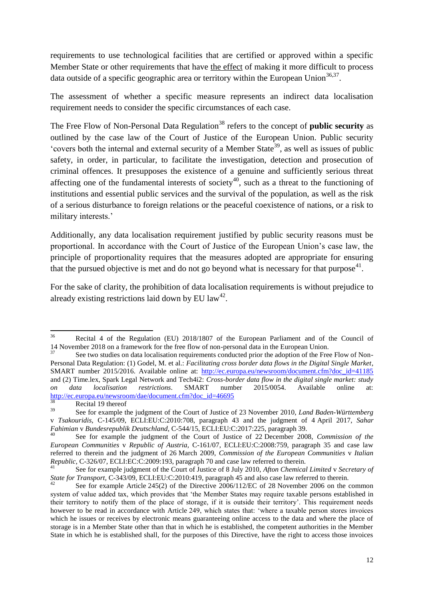requirements to use technological facilities that are certified or approved within a specific Member State or other requirements that have the effect of making it more difficult to process data outside of a specific geographic area or territory within the European Union<sup>36,37</sup>.

The assessment of whether a specific measure represents an indirect data localisation requirement needs to consider the specific circumstances of each case.

The Free Flow of Non-Personal Data Regulation<sup>38</sup> refers to the concept of **public security** as outlined by the case law of the Court of Justice of the European Union. Public security 'covers both the internal and external security of a Member State<sup>39</sup>, as well as issues of public safety, in order, in particular, to facilitate the investigation, detection and prosecution of criminal offences. It presupposes the existence of a genuine and sufficiently serious threat affecting one of the fundamental interests of society<sup>40</sup>, such as a threat to the functioning of institutions and essential public services and the survival of the population, as well as the risk of a serious disturbance to foreign relations or the peaceful coexistence of nations, or a risk to military interests.'

Additionally, any data localisation requirement justified by public security reasons must be proportional. In accordance with the Court of Justice of the European Union's case law, the principle of proportionality requires that the measures adopted are appropriate for ensuring that the pursued objective is met and do not go beyond what is necessary for that purpose<sup>41</sup>.

For the sake of clarity, the prohibition of data localisation requirements is without prejudice to already existing restrictions laid down by EU law<sup>42</sup>.

 $38 \t\t\t Recital 19$  thereof

<sup>36</sup> Recital 4 of the Regulation (EU) 2018/1807 of the European Parliament and of the Council of 14 November 2018 on a framework for the free flow of non-personal data in the European Union.

See two studies on data localisation requirements conducted prior the adoption of the Free Flow of Non-Personal Data Regulation: (1) Godel, M. et al.: *Facilitating cross border data flows in the Digital Single Market*, SMART number 2015/2016. Available online at: [http://ec.europa.eu/newsroom/document.cfm?doc\\_id=41185](http://ec.europa.eu/newsroom/document.cfm?doc_id=41185) and (2) Time.lex, Spark Legal Network and Tech4i2: *Cross-border data flow in the digital single market: study on data localisation restrictions*. SMART number 2015/0054. Available online at: [http://ec.europa.eu/newsroom/dae/document.cfm?doc\\_id=46695](http://ec.europa.eu/newsroom/dae/document.cfm?doc_id=46695)

<sup>39</sup> See for example the judgment of the Court of Justice of 23 November 2010, *Land Baden-Württemberg* v *Tsakouridis*, C-145/09, ECLI:EU:C:2010:708, paragraph 43 and the judgment of 4 April 2017, *Sahar Fahimian* v *Bundesrepublik Deutschland*, C-544/15, ECLI:EU:C:2017:225, paragraph 39.

<sup>40</sup> See for example the judgment of the Court of Justice of 22 December 2008, *Commission of the European Communities* v *Republic of Austria*, C-161/07, ECLI:EU:C:2008:759, paragraph 35 and case law referred to therein and the judgment of 26 March 2009, *Commission of the European Communities* v *Italian Republic*, C-326/07, ECLI:EC:C:2009:193, paragraph 70 and case law referred to therein.

<sup>41</sup> See for example judgment of the Court of Justice of 8 July 2010, *Afton Chemical Limited* v *Secretary of State for Transport,* C-343/09, ECLI:EU:C:2010:419, paragraph 45 and also case law referred to therein.

See for example Article 245(2) of the Directive 2006/112/EC of 28 November 2006 on the common system of value added tax, which provides that 'the Member States may require taxable persons established in their territory to notify them of the place of storage, if it is outside their territory'. This requirement needs however to be read in accordance with Article 249, which states that: 'where a taxable person stores invoices which he issues or receives by electronic means guaranteeing online access to the data and where the place of storage is in a Member State other than that in which he is established, the competent authorities in the Member State in which he is established shall, for the purposes of this Directive, have the right to access those invoices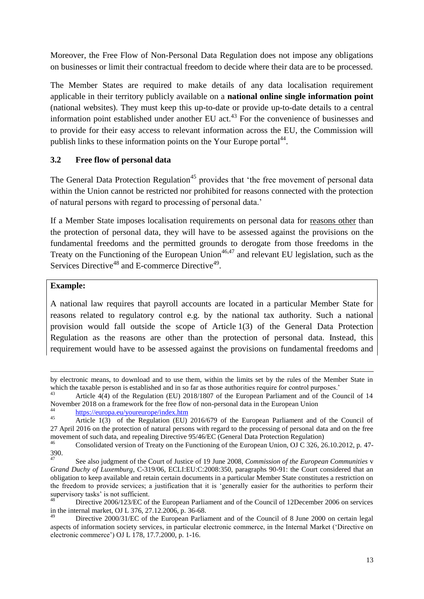Moreover, the Free Flow of Non-Personal Data Regulation does not impose any obligations on businesses or limit their contractual freedom to decide where their data are to be processed.

The Member States are required to make details of any data localisation requirement applicable in their territory publicly available on a **national online single information point**  (national websites). They must keep this up-to-date or provide up-to-date details to a central information point established under another EU act.<sup>43</sup> For the convenience of businesses and to provide for their easy access to relevant information across the EU, the Commission will publish links to these information points on the Your Europe portal<sup>44</sup>.

### <span id="page-13-0"></span>**3.2 Free flow of personal data**

The General Data Protection Regulation<sup>45</sup> provides that 'the free movement of personal data within the Union cannot be restricted nor prohibited for reasons connected with the protection of natural persons with regard to processing of personal data.'

If a Member State imposes localisation requirements on personal data for reasons other than the protection of personal data*,* they will have to be assessed against the provisions on the fundamental freedoms and the permitted grounds to derogate from those freedoms in the Treaty on the Functioning of the European Union<sup>46,47</sup> and relevant EU legislation, such as the Services Directive<sup>48</sup> and E-commerce Directive<sup>49</sup>.

#### **Example:**

**.** 

A national law requires that payroll accounts are located in a particular Member State for reasons related to regulatory control e.g. by the national tax authority. Such a national provision would fall outside the scope of Article 1(3) of the General Data Protection Regulation as the reasons are other than the protection of personal data. Instead, this requirement would have to be assessed against the provisions on fundamental freedoms and

by electronic means, to download and to use them, within the limits set by the rules of the Member State in which the taxable person is established and in so far as those authorities require for control purposes.'

<sup>43</sup> Article 4(4) of the Regulation (EU) 2018/1807 of the European Parliament and of the Council of 14 November 2018 on a framework for the free flow of non-personal data in the European Union

<sup>&</sup>lt;sup>44</sup> <https://europa.eu/youreurope/index.htm><br> $\frac{\text{https://europa.eu/youreurope/index.htm}}{\text{Artiola 1(3) of the Poulution (E1)}}$ 

Article 1(3) of the Regulation (EU) 2016/679 of the European Parliament and of the Council of 27 April 2016 on the protection of natural persons with regard to the processing of personal data and on the free movement of such data, and repealing Directive 95/46/EC (General Data Protection Regulation)<br><sup>46</sup> Consolidated version of Tracty on the Eunstining of the European Union, OLG 326, 24

Consolidated version of Treaty on the Functioning of the European Union, OJ C 326, 26.10.2012, p. 47-390.

<sup>47</sup> See also judgment of the Court of Justice of 19 June 2008, *Commission of the European Communities* v *Grand Duchy of Luxemburg*, C-319/06, ECLI:EU:C:2008:350, paragraphs 90-91: the Court considered that an obligation to keep available and retain certain documents in a particular Member State constitutes a restriction on the freedom to provide services; a justification that it is 'generally easier for the authorities to perform their supervisory tasks' is not sufficient.

Directive 2006/123/EC of the European Parliament and of the Council of 12December 2006 on services in the internal market, OJ L 376, 27.12.2006, p. 36-68.

Directive 2000/31/EC of the European Parliament and of the Council of 8 June 2000 on certain legal aspects of information society services, in particular electronic commerce, in the Internal Market ('Directive on electronic commerce') OJ L 178, 17.7.2000, p. 1-16.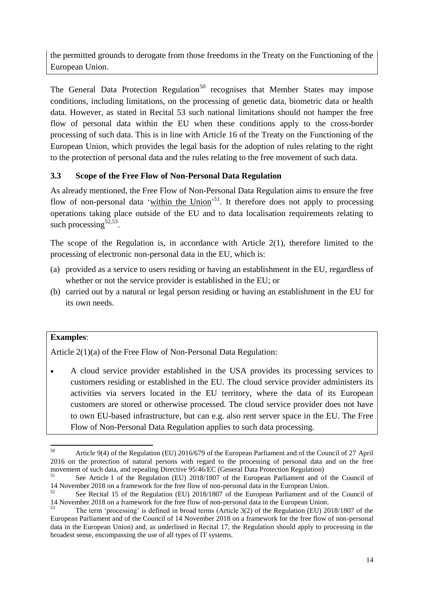the permitted grounds to derogate from those freedoms in the Treaty on the Functioning of the European Union.

The General Data Protection Regulation<sup>50</sup> recognises that Member States may impose conditions, including limitations, on the processing of genetic data, biometric data or health data. However, as stated in Recital 53 such national limitations should not hamper the free flow of personal data within the EU when these conditions apply to the cross-border processing of such data. This is in line with Article 16 of the Treaty on the Functioning of the European Union, which provides the legal basis for the adoption of rules relating to the right to the protection of personal data and the rules relating to the free movement of such data.

#### <span id="page-14-0"></span>**3.3 Scope of the Free Flow of Non-Personal Data Regulation**

As already mentioned, the Free Flow of Non-Personal Data Regulation aims to ensure the free flow of non-personal data 'within the Union'<sup>51</sup>. It therefore does not apply to processing operations taking place outside of the EU and to data localisation requirements relating to such processing $52,53$ .

The scope of the Regulation is, in accordance with Article 2(1), therefore limited to the processing of electronic non-personal data in the EU, which is:

- (a) provided as a service to users residing or having an establishment in the EU, regardless of whether or not the service provider is established in the EU; or
- (b) carried out by a natural or legal person residing or having an establishment in the EU for its own needs.

#### **Examples**:

Article 2(1)(a) of the Free Flow of Non-Personal Data Regulation:

 A cloud service provider established in the USA provides its processing services to customers residing or established in the EU. The cloud service provider administers its activities via servers located in the EU territory, where the data of its European customers are stored or otherwise processed. The cloud service provider does not have to own EU-based infrastructure, but can e.g. also rent server space in the EU. The Free Flow of Non-Personal Data Regulation applies to such data processing.

<sup>50</sup> <sup>50</sup> Article 9(4) of the Regulation (EU) 2016/679 of the European Parliament and of the Council of 27 April 2016 on the protection of natural persons with regard to the processing of personal data and on the free movement of such data, and repealing Directive 95/46/EC (General Data Protection Regulation)

<sup>51</sup> See Article 1 of the Regulation (EU) 2018/1807 of the European Parliament and of the Council of 14 November 2018 on a framework for the free flow of non-personal data in the European Union.

<sup>52</sup> See Recital 15 of the Regulation (EU) 2018/1807 of the European Parliament and of the Council of 14 November 2018 on a framework for the free flow of non-personal data in the European Union.

<sup>53</sup> The term 'processing' is defined in broad terms (Article 3(2) of the Regulation (EU) 2018/1807 of the European Parliament and of the Council of 14 November 2018 on a framework for the free flow of non-personal data in the European Union) and, as underlined in Recital 17, the Regulation should apply to processing in the broadest sense, encompassing the use of all types of IT systems.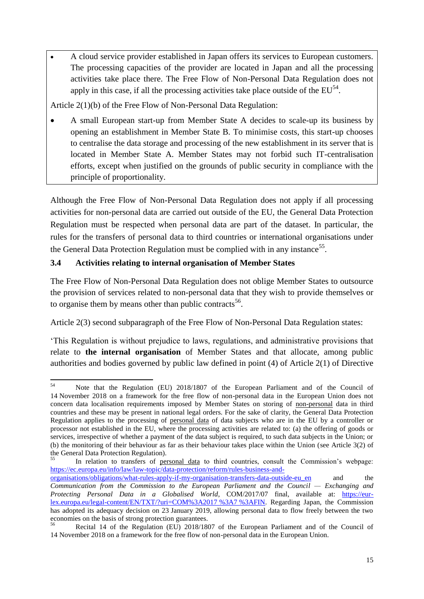A cloud service provider established in Japan offers its services to European customers. The processing capacities of the provider are located in Japan and all the processing activities take place there. The Free Flow of Non-Personal Data Regulation does not apply in this case, if all the processing activities take place outside of the  $EU^{54}$ .

Article 2(1)(b) of the Free Flow of Non-Personal Data Regulation:

 A small European start-up from Member State A decides to scale-up its business by opening an establishment in Member State B. To minimise costs, this start-up chooses to centralise the data storage and processing of the new establishment in its server that is located in Member State A. Member States may not forbid such IT-centralisation efforts, except when justified on the grounds of public security in compliance with the principle of proportionality.

Although the Free Flow of Non-Personal Data Regulation does not apply if all processing activities for non-personal data are carried out outside of the EU, the General Data Protection Regulation must be respected when personal data are part of the dataset. In particular, the rules for the transfers of personal data to third countries or international organisations under the General Data Protection Regulation must be complied with in any instance<sup>55</sup>.

#### <span id="page-15-0"></span>**3.4 Activities relating to internal organisation of Member States**

The Free Flow of Non-Personal Data Regulation does not oblige Member States to outsource the provision of services related to non-personal data that they wish to provide themselves or to organise them by means other than public contracts<sup>56</sup>.

Article 2(3) second subparagraph of the Free Flow of Non-Personal Data Regulation states:

'This Regulation is without prejudice to laws, regulations, and administrative provisions that relate to **the internal organisation** of Member States and that allocate, among public authorities and bodies governed by public law defined in point (4) of Article 2(1) of Directive

<sup>55</sup> In relation to transfers of personal data to third countries, consult the Commission's webpage: [https://ec.europa.eu/info/law/law-topic/data-protection/reform/rules-business-and-](https://ec.europa.eu/info/law/law-topic/data-protection/reform/rules-business-and-organisations/obligations/what-rules-apply-if-my-organisation-transfers-data-outside-eu_en)

<sup>54</sup> Note that the Regulation (EU) 2018/1807 of the European Parliament and of the Council of 14 November 2018 on a framework for the free flow of non-personal data in the European Union does not concern data localisation requirements imposed by Member States on storing of non-personal data in third countries and these may be present in national legal orders. For the sake of clarity, the General Data Protection Regulation applies to the processing of personal data of data subjects who are in the EU by a controller or processor not established in the EU, where the processing activities are related to: (a) the offering of goods or services, irrespective of whether a payment of the data subject is required, to such data subjects in the Union; or (b) the monitoring of their behaviour as far as their behaviour takes place within the Union (see Article 3(2) of the General Data Protection Regulation).

[organisations/obligations/what-rules-apply-if-my-organisation-transfers-data-outside-eu\\_en](https://ec.europa.eu/info/law/law-topic/data-protection/reform/rules-business-and-organisations/obligations/what-rules-apply-if-my-organisation-transfers-data-outside-eu_en) and the *Communication from the Commission to the European Parliament and the Council — Exchanging and Protecting Personal Data in a Globalised World*, COM/2017/07 final, available at: [https://eur](https://eur-lex.europa.eu/legal-content/EN/TXT/?uri=COM%3A2017%3A7%3AFIN)[lex.europa.eu/legal-content/EN/TXT/?uri=COM%3A2017](https://eur-lex.europa.eu/legal-content/EN/TXT/?uri=COM%3A2017%3A7%3AFIN) %3A7 %3AFIN. Regarding Japan, the Commission has adopted its adequacy decision on 23 January 2019, allowing personal data to flow freely between the two economies on the basis of strong protection guarantees.

<sup>56</sup> Recital 14 of the Regulation (EU) 2018/1807 of the European Parliament and of the Council of 14 November 2018 on a framework for the free flow of non-personal data in the European Union.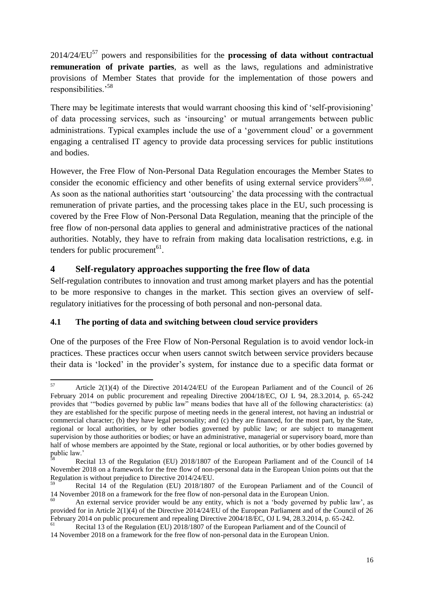2014/24/EU<sup>57</sup> powers and responsibilities for the **processing of data without contractual remuneration of private parties**, as well as the laws, regulations and administrative provisions of Member States that provide for the implementation of those powers and responsibilities.'<sup>58</sup>

There may be legitimate interests that would warrant choosing this kind of 'self-provisioning' of data processing services, such as 'insourcing' or mutual arrangements between public administrations. Typical examples include the use of a 'government cloud' or a government engaging a centralised IT agency to provide data processing services for public institutions and bodies.

However, the Free Flow of Non-Personal Data Regulation encourages the Member States to consider the economic efficiency and other benefits of using external service providers<sup>59,60</sup>. As soon as the national authorities start 'outsourcing' the data processing with the contractual remuneration of private parties, and the processing takes place in the EU, such processing is covered by the Free Flow of Non-Personal Data Regulation, meaning that the principle of the free flow of non-personal data applies to general and administrative practices of the national authorities. Notably, they have to refrain from making data localisation restrictions, e.g. in tenders for public procurement $^{61}$ .

### <span id="page-16-0"></span>**4 Self-regulatory approaches supporting the free flow of data**

Self-regulation contributes to innovation and trust among market players and has the potential to be more responsive to changes in the market. This section gives an overview of selfregulatory initiatives for the processing of both personal and non-personal data.

### <span id="page-16-1"></span>**4.1 The porting of data and switching between cloud service providers**

One of the purposes of the Free Flow of Non-Personal Regulation is to avoid vendor lock-in practices. These practices occur when users cannot switch between service providers because their data is 'locked' in the provider's system, for instance due to a specific data format or

<sup>57</sup> <sup>57</sup> Article 2(1)(4) of the Directive 2014/24/EU of the European Parliament and of the Council of 26 February 2014 on public procurement and repealing Directive 2004/18/EC, OJ L 94, 28.3.2014, p. 65-242 provides that '"bodies governed by public law" means bodies that have all of the following characteristics: (a) they are established for the specific purpose of meeting needs in the general interest, not having an industrial or commercial character; (b) they have legal personality; and (c) they are financed, for the most part, by the State, regional or local authorities, or by other bodies governed by public law; or are subject to management supervision by those authorities or bodies; or have an administrative, managerial or supervisory board, more than half of whose members are appointed by the State, regional or local authorities, or by other bodies governed by public law.'

<sup>58</sup> Recital 13 of the Regulation (EU) 2018/1807 of the European Parliament and of the Council of 14 November 2018 on a framework for the free flow of non-personal data in the European Union points out that the Regulation is without prejudice to Directive 2014/24/EU.

<sup>59</sup> Recital 14 of the Regulation (EU) 2018/1807 of the European Parliament and of the Council of 14 November 2018 on a framework for the free flow of non-personal data in the European Union.

An external service provider would be any entity, which is not a 'body governed by public law', as provided for in Article 2(1)(4) of the Directive 2014/24/EU of the European Parliament and of the Council of 26 February 2014 on public procurement and repealing Directive 2004/18/EC, OJ L 94, 28.3.2014, p. 65-242.

<sup>61</sup> Recital 13 of the Regulation (EU) 2018/1807 of the European Parliament and of the Council of 14 November 2018 on a framework for the free flow of non-personal data in the European Union.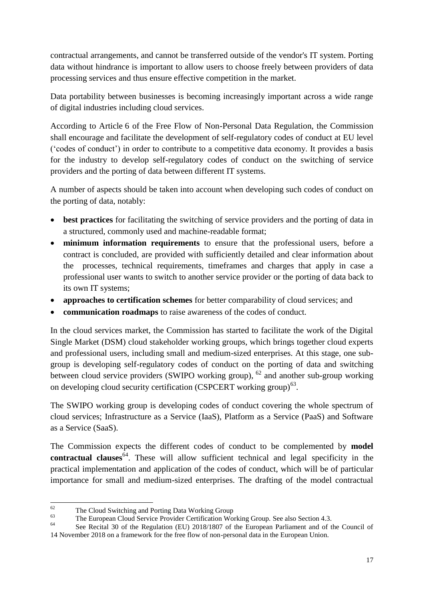contractual arrangements, and cannot be transferred outside of the vendor's IT system. Porting data without hindrance is important to allow users to choose freely between providers of data processing services and thus ensure effective competition in the market.

Data portability between businesses is becoming increasingly important across a wide range of digital industries including cloud services.

According to Article 6 of the Free Flow of Non-Personal Data Regulation, the Commission shall encourage and facilitate the development of self-regulatory codes of conduct at EU level ('codes of conduct') in order to contribute to a competitive data economy. It provides a basis for the industry to develop self-regulatory codes of conduct on the switching of service providers and the porting of data between different IT systems.

A number of aspects should be taken into account when developing such codes of conduct on the porting of data, notably:

- **best practices** for facilitating the switching of service providers and the porting of data in a structured, commonly used and machine-readable format;
- **minimum information requirements** to ensure that the professional users, before a contract is concluded, are provided with sufficiently detailed and clear information about the processes, technical requirements, timeframes and charges that apply in case a professional user wants to switch to another service provider or the porting of data back to its own IT systems;
- **approaches to certification schemes** for better comparability of cloud services; and
- **communication roadmaps** to raise awareness of the codes of conduct.

In the cloud services market, the Commission has started to facilitate the work of the Digital Single Market (DSM) cloud stakeholder working groups, which brings together cloud experts and professional users, including small and medium-sized enterprises. At this stage, one subgroup is developing self-regulatory codes of conduct on the porting of data and switching between cloud service providers (SWIPO working group), <sup>62</sup> and another sub-group working on developing cloud security certification (CSPCERT working group) $^{63}$ .

The SWIPO working group is developing codes of conduct covering the whole spectrum of cloud services; Infrastructure as a Service (IaaS), Platform as a Service (PaaS) and Software as a Service (SaaS).

The Commission expects the different codes of conduct to be complemented by **model**  contractual clauses<sup>64</sup>. These will allow sufficient technical and legal specificity in the practical implementation and application of the codes of conduct, which will be of particular importance for small and medium-sized enterprises. The drafting of the model contractual

<sup>62</sup>  $^{62}$  The Cloud Switching and Porting Data Working Group

<sup>&</sup>lt;sup>63</sup> The European Cloud Service Provider Certification Working Group. See also Section 4.3.<br><sup>64</sup> See Besitel <sup>20</sup> of the Besulation (EU) 2018/1807 of the European Besliement and of the

<sup>64</sup> See Recital 30 of the Regulation (EU) 2018/1807 of the European Parliament and of the Council of 14 November 2018 on a framework for the free flow of non-personal data in the European Union.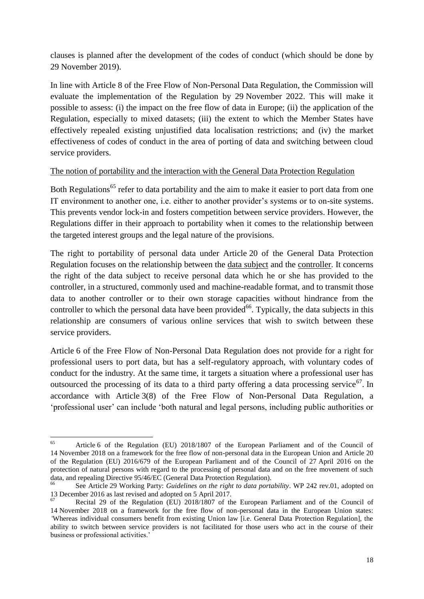clauses is planned after the development of the codes of conduct (which should be done by 29 November 2019).

In line with Article 8 of the Free Flow of Non-Personal Data Regulation, the Commission will evaluate the implementation of the Regulation by 29 November 2022. This will make it possible to assess: (i) the impact on the free flow of data in Europe; (ii) the application of the Regulation, especially to mixed datasets; (iii) the extent to which the Member States have effectively repealed existing unjustified data localisation restrictions; and (iv) the market effectiveness of codes of conduct in the area of porting of data and switching between cloud service providers.

#### <span id="page-18-0"></span>The notion of portability and the interaction with the General Data Protection Regulation

Both Regulations<sup>65</sup> refer to data portability and the aim to make it easier to port data from one IT environment to another one, i.e. either to another provider's systems or to on-site systems. This prevents vendor lock-in and fosters competition between service providers. However, the Regulations differ in their approach to portability when it comes to the relationship between the targeted interest groups and the legal nature of the provisions.

The right to portability of personal data under Article 20 of the General Data Protection Regulation focuses on the relationship between the data subject and the controller. It concerns the right of the data subject to receive personal data which he or she has provided to the controller, in a structured, commonly used and machine-readable format, and to transmit those data to another controller or to their own storage capacities without hindrance from the controller to which the personal data have been provided<sup>66</sup>. Typically, the data subjects in this relationship are consumers of various online services that wish to switch between these service providers.

Article 6 of the Free Flow of Non-Personal Data Regulation does not provide for a right for professional users to port data, but has a self-regulatory approach, with voluntary codes of conduct for the industry. At the same time, it targets a situation where a professional user has outsourced the processing of its data to a third party offering a data processing service<sup>67</sup>. In accordance with Article 3(8) of the Free Flow of Non-Personal Data Regulation, a 'professional user' can include 'both natural and legal persons, including public authorities or

<sup>65</sup> <sup>65</sup> Article 6 of the Regulation (EU) 2018/1807 of the European Parliament and of the Council of 14 November 2018 on a framework for the free flow of non-personal data in the European Union and Article 20 of the Regulation (EU) 2016/679 of the European Parliament and of the Council of 27 April 2016 on the protection of natural persons with regard to the processing of personal data and on the free movement of such data, and repealing Directive 95/46/EC (General Data Protection Regulation).

<sup>66</sup> See Article 29 Working Party: *Guidelines on the right to data portability*. WP 242 rev.01, adopted on 13 December 2016 as last revised and adopted on 5 April 2017.

Recital 29 of the Regulation (EU) 2018/1807 of the European Parliament and of the Council of 14 November 2018 on a framework for the free flow of non-personal data in the European Union states: *'*Whereas individual consumers benefit from existing Union law [i.e. General Data Protection Regulation], the ability to switch between service providers is not facilitated for those users who act in the course of their business or professional activities.'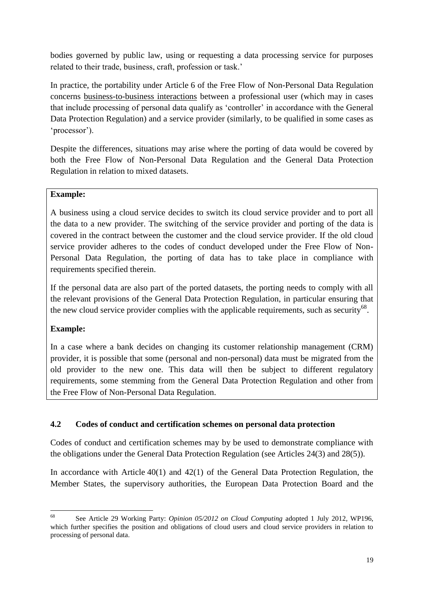bodies governed by public law, using or requesting a data processing service for purposes related to their trade, business, craft, profession or task.'

In practice, the portability under Article 6 of the Free Flow of Non-Personal Data Regulation concerns business-to-business interactions between a professional user (which may in cases that include processing of personal data qualify as 'controller' in accordance with the General Data Protection Regulation) and a service provider (similarly, to be qualified in some cases as 'processor').

Despite the differences, situations may arise where the porting of data would be covered by both the Free Flow of Non-Personal Data Regulation and the General Data Protection Regulation in relation to mixed datasets.

#### **Example:**

A business using a cloud service decides to switch its cloud service provider and to port all the data to a new provider. The switching of the service provider and porting of the data is covered in the contract between the customer and the cloud service provider. If the old cloud service provider adheres to the codes of conduct developed under the Free Flow of Non-Personal Data Regulation, the porting of data has to take place in compliance with requirements specified therein.

If the personal data are also part of the ported datasets, the porting needs to comply with all the relevant provisions of the General Data Protection Regulation, in particular ensuring that the new cloud service provider complies with the applicable requirements, such as security<sup>68</sup>.

### **Example:**

In a case where a bank decides on changing its customer relationship management (CRM) provider, it is possible that some (personal and non-personal) data must be migrated from the old provider to the new one. This data will then be subject to different regulatory requirements, some stemming from the General Data Protection Regulation and other from the Free Flow of Non-Personal Data Regulation.

### <span id="page-19-0"></span>**4.2 Codes of conduct and certification schemes on personal data protection**

Codes of conduct and certification schemes may by be used to demonstrate compliance with the obligations under the General Data Protection Regulation (see Articles 24(3) and 28(5)).

In accordance with Article 40(1) and 42(1) of the General Data Protection Regulation, the Member States, the supervisory authorities, the European Data Protection Board and the

<sup>68</sup> <sup>68</sup> See Article 29 Working Party: *Opinion 05/2012 on Cloud Computing* adopted 1 July 2012, WP196, which further specifies the position and obligations of cloud users and cloud service providers in relation to processing of personal data.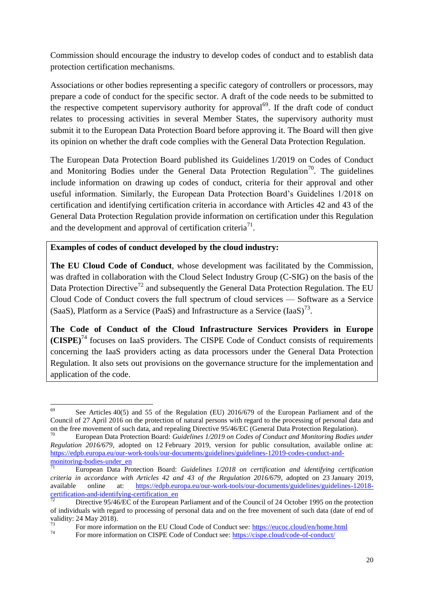Commission should encourage the industry to develop codes of conduct and to establish data protection certification mechanisms.

Associations or other bodies representing a specific category of controllers or processors, may prepare a code of conduct for the specific sector. A draft of the code needs to be submitted to the respective competent supervisory authority for approval<sup>69</sup>. If the draft code of conduct relates to processing activities in several Member States, the supervisory authority must submit it to the European Data Protection Board before approving it. The Board will then give its opinion on whether the draft code complies with the General Data Protection Regulation.

The European Data Protection Board published its Guidelines 1/2019 on Codes of Conduct and Monitoring Bodies under the General Data Protection Regulation<sup>70</sup>. The guidelines include information on drawing up codes of conduct, criteria for their approval and other useful information. Similarly, the European Data Protection Board's Guidelines 1/2018 on certification and identifying certification criteria in accordance with Articles 42 and 43 of the General Data Protection Regulation provide information on certification under this Regulation and the development and approval of certification criteria<sup>71</sup>.

#### **Examples of codes of conduct developed by the cloud industry:**

**The EU Cloud Code of Conduct**, whose development was facilitated by the Commission, was drafted in collaboration with the Cloud Select Industry Group (C-SIG) on the basis of the Data Protection Directive<sup>72</sup> and subsequently the General Data Protection Regulation. The EU Cloud Code of Conduct covers the full spectrum of cloud services — Software as a Service (SaaS), Platform as a Service (PaaS) and Infrastructure as a Service  $(IaaS)^{73}$ .

**The Code of Conduct of the Cloud Infrastructure Services Providers in Europe (CISPE)**<sup>74</sup> focuses on IaaS providers. The CISPE Code of Conduct consists of requirements concerning the IaaS providers acting as data processors under the General Data Protection Regulation. It also sets out provisions on the governance structure for the implementation and application of the code.

<sup>69</sup> See Articles 40(5) and 55 of the Regulation (EU) 2016/679 of the European Parliament and of the Council of 27 April 2016 on the protection of natural persons with regard to the processing of personal data and on the free movement of such data, and repealing Directive 95/46/EC (General Data Protection Regulation).

<sup>70</sup> European Data Protection Board: *Guidelines 1/2019 on Codes of Conduct and Monitoring Bodies under Regulation 2016/679*, adopted on 12 February 2019, version for public consultation, available online at: [https://edpb.europa.eu/our-work-tools/our-documents/guidelines/guidelines-12019-codes-conduct-and-](https://edpb.europa.eu/our-work-tools/our-documents/guidelines/guidelines-12019-codes-conduct-and-monitoring-bodies-under_en) $\frac{1}{71}$  monitoring-bodies-under en

<sup>71</sup> European Data Protection Board: *Guidelines 1/2018 on certification and identifying certification criteria in accordance with Articles 42 and 43 of the Regulation 2016/679*, adopted on 23 January 2019, available online at: [https://edpb.europa.eu/our-work-tools/our-documents/guidelines/guidelines-12018](https://edpb.europa.eu/our-work-tools/our-documents/guidelines/guidelines-12018-certification-and-identifying-certification_en) [certification-and-identifying-certification\\_en](https://edpb.europa.eu/our-work-tools/our-documents/guidelines/guidelines-12018-certification-and-identifying-certification_en) 

Directive 95/46/EC of the European Parliament and of the Council of 24 October 1995 on the protection of individuals with regard to processing of personal data and on the free movement of such data (date of end of validity: 24 May 2018).

 $^{73}$  For more information on the EU Cloud Code of Conduct see:  $\frac{https://eucoc.cloud/en/home.html}{https://eucoc.cloud/en/home.html}$ 

<sup>74</sup> For more information on CISPE Code of Conduct see:<https://cispe.cloud/code-of-conduct/>